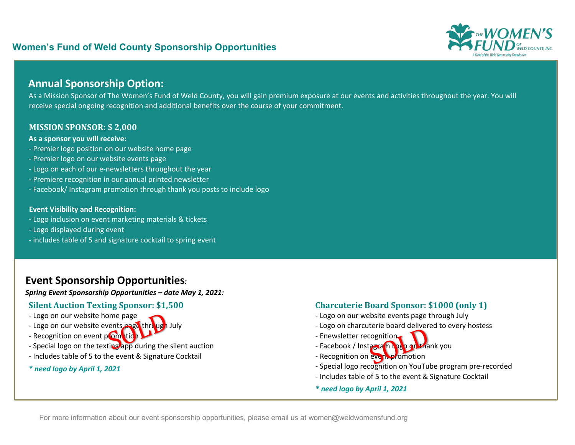# **Women's Fund of Weld County Sponsorship Opportunities**



# **Annual Sponsorship Option:**

As a Mission Sponsor of The Women's Fund of Weld County, you will gain premium exposure at our events and activities throughout the year. You will receive special ongoing recognition and additional benefits over the course of your commitment.

#### **MISSION SPONSOR: \$ 2,000**

#### **As a sponsor you will receive:**

- Premier logo position on our website home page
- Premier logo on our website events page
- Logo on each of our e-newsletters throughout the year
- Premiere recognition in our annual printed newsletter
- Facebook/ Instagram promotion through thank you posts to include logo

#### **Event Visibility and Recognition:**

- Logo inclusion on event marketing materials & tickets
- Logo displayed during event
- includes table of 5 and signature cocktail to spring event

# **Event Sponsorship Opportunities***:*

*Spring Event Sponsorship Opportunities – date May 1, 2021:* 

## **Silent Auction Texting Sponsor: \$1,500**

- Logo on our website home page
- Logo on our website events page through July ome page<br>vents page through<br>Compution
- Recognition on event promotion
- Special logo on the texting app during the silent auction
- Includes table of 5 to the event & Signature Cocktail
- *\* need logo by April 1, 2021*

### **Charcuterie Board Sponsor: \$1000 (only 1)**

- Logo on our website events page through July
- Logo on charcuterie board delivered to every hostess
- Enewsletter recognition
- Facebook / Instagram Logo on thank you - Enewsletter recognition
- 
- Special logo recognition on YouTube program pre-recorded
- Includes table of 5 to the event & Signature Cocktail
- *\* need logo by April 1, 2021*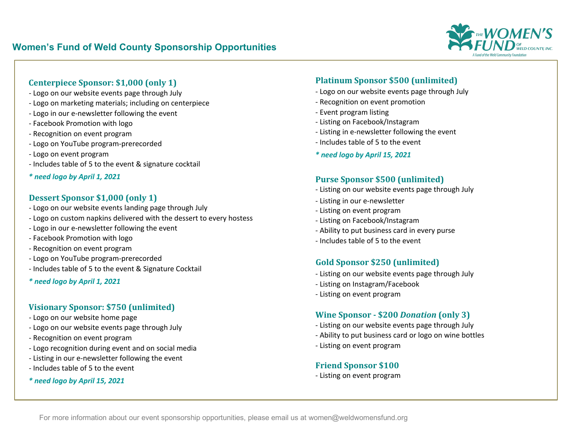

## **Centerpiece Sponsor: \$1,000 (only 1)**

- Logo on our website events page through July
- Logo on marketing materials; including on centerpiece
- Logo in our e-newsletter following the event
- Facebook Promotion with logo
- Recognition on event program
- Logo on YouTube program-prerecorded
- Logo on event program
- Includes table of 5 to the event & signature cocktail
- *\* need logo by April 1, 2021*

#### **Dessert Sponsor \$1,000 (only 1)**

- Logo on our website events landing page through July
- Logo on custom napkins delivered with the dessert to every hostess
- Logo in our e-newsletter following the event
- Facebook Promotion with logo
- Recognition on event program
- Logo on YouTube program-prerecorded
- Includes table of 5 to the event & Signature Cocktail
- *\* need logo by April 1, 2021*

## **Visionary Sponsor: \$750 (unlimited)**

- Logo on our website home page
- Logo on our website events page through July
- Recognition on event program
- Logo recognition during event and on social media
- Listing in our e-newsletter following the event
- Includes table of 5 to the event

#### *\* need logo by April 15, 2021*

## **Platinum Sponsor \$500 (unlimited)**

- Logo on our website events page through July
- Recognition on event promotion
- Event program listing
- Listing on Facebook/Instagram
- Listing in e-newsletter following the event
- Includes table of 5 to the event
- *\* need logo by April 15, 2021*

#### **Purse Sponsor \$500 (unlimited)**

- Listing on our website events page through July
- Listing in our e-newsletter
- Listing on event program
- Listing on Facebook/Instagram
- Ability to put business card in every purse
- Includes table of 5 to the event

### Gold Sponsor \$250 (unlimited)

- Listing on our website events page through July
- Listing on Instagram/Facebook
- Listing on event program

## **Wine Sponsor - \$200 Donation (only 3)**

- Listing on our website events page through July
- Ability to put business card or logo on wine bottles
- Listing on event program

### **Friend Sponsor \$100**

- Listing on event program